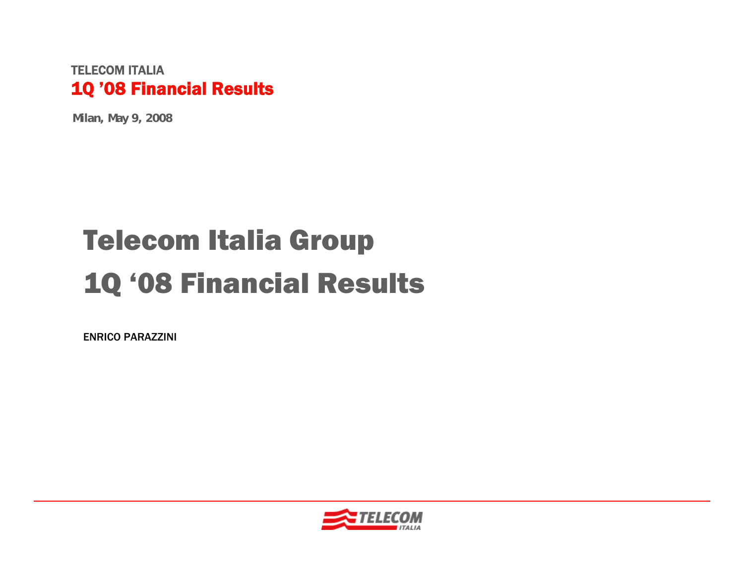**Milan, May 9, 2008**

# Telecom Italia Group 1Q '08 Financial Results

ENRICO PARAZZINI

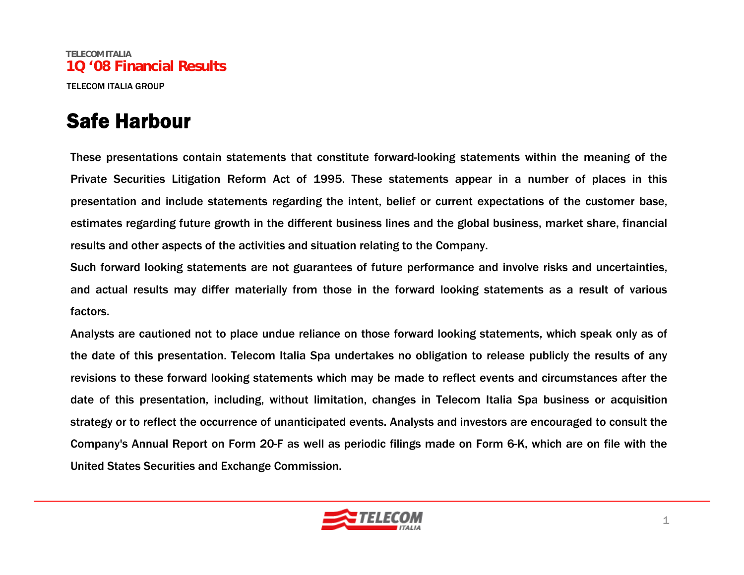#### Safe Harbour

These presentations contain statements that constitute forward-looking statements within the meaning of the Private Securities Litigation Reform Act of 1995. These statements appear in a number of places in this presentation and include statements regarding the intent, belief or current expectations of the customer base, estimates regarding future growth in the different business lines and the global business, market share, financial results and other aspects of the activities and situation relating to the Company.

Such forward looking statements are not guarantees of future performance and involve risks and uncertainties, and actual results may differ materially from those in the forward looking statements as a result of various factors.

Analysts are cautioned not to place undue reliance on those forward looking statements, which speak only as of the date of this presentation. Telecom Italia Spa undertakes no obligation to release publicly the results of any revisions to these forward looking statements which may be made to reflect events and circumstances after the date of this presentation, including, without limitation, changes in Telecom Italia Spa business or acquisition strategy or to reflect the occurrence of unanticipated events. Analysts and investors are encouraged to consult the Company's Annual Report on Form 20-F as well as periodic filings made on Form 6-K, which are on file with the United States Securities and Exchange Commission.

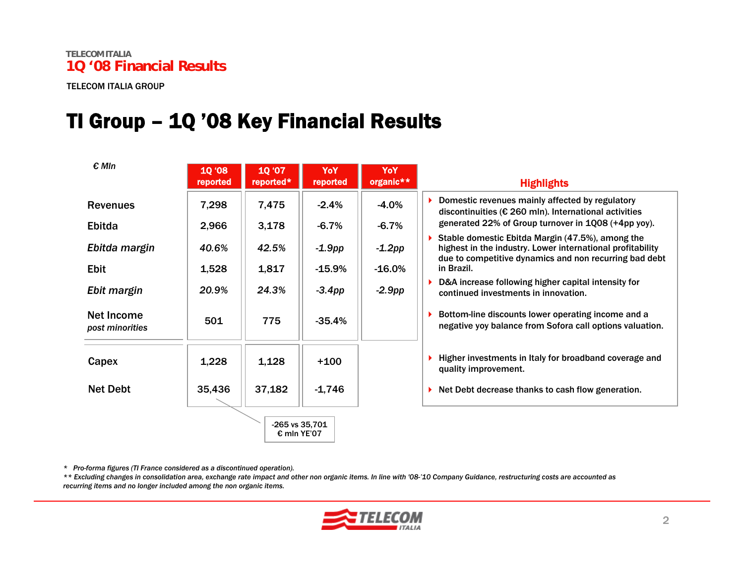#### TI Group – 1Q '08 Key Financial Results

| $\epsilon$ MIn                | <b>10 '08</b><br>reported | 10 '07<br>reported* | YoY<br>reported | YoY<br>organic** | <b>Highlights</b>                                                                                                                                                        |
|-------------------------------|---------------------------|---------------------|-----------------|------------------|--------------------------------------------------------------------------------------------------------------------------------------------------------------------------|
| <b>Revenues</b>               | 7,298                     | 7,475               | $-2.4\%$        | $-4.0%$          | Domestic revenues mainly affected by regulatory<br>discontinuities ( $\epsilon$ 260 mln). International activities                                                       |
| Ebitda                        | 2,966                     | 3,178               | $-6.7%$         | $-6.7%$          | generated 22% of Group turnover in 1Q08 (+4pp yoy).                                                                                                                      |
| Ebitda margin                 | 40.6%                     | 42.5%               | $-1.9$ pp       | $-1.2$ pp        | Stable domestic Ebitda Margin (47.5%), among the<br>highest in the industry. Lower international profitability<br>due to competitive dynamics and non recurring bad debt |
| <b>Ebit</b>                   | 1,528                     | 1,817               | $-15.9%$        | $-16.0%$         | in Brazil.                                                                                                                                                               |
| Ebit margin                   | 20.9%                     | 24.3%               | $-3.4$ pp       | $-2.9$ pp        | D&A increase following higher capital intensity for<br>continued investments in innovation.                                                                              |
| Net Income<br>post minorities | 501                       | 775                 | $-35.4%$        |                  | Bottom-line discounts lower operating income and a<br>negative yoy balance from Sofora call options valuation.                                                           |
| Capex                         | 1,228                     | 1,128               | $+100$          |                  | Higher investments in Italy for broadband coverage and<br>quality improvement.                                                                                           |
| <b>Net Debt</b>               | 35,436                    | 37,182              | $-1,746$        |                  | Net Debt decrease thanks to cash flow generation.                                                                                                                        |
|                               |                           | € mln YE'07         | -265 vs 35,701  |                  |                                                                                                                                                                          |

*\* Pro-forma figures (TI France considered as a discontinued operation).*

\*\* Excluding changes in consolidation area, exchange rate impact and other non organic items. In line with '08-'10 Company Guidance, restructuring costs are accounted as *recurring items and no longer included among the non organic items.*

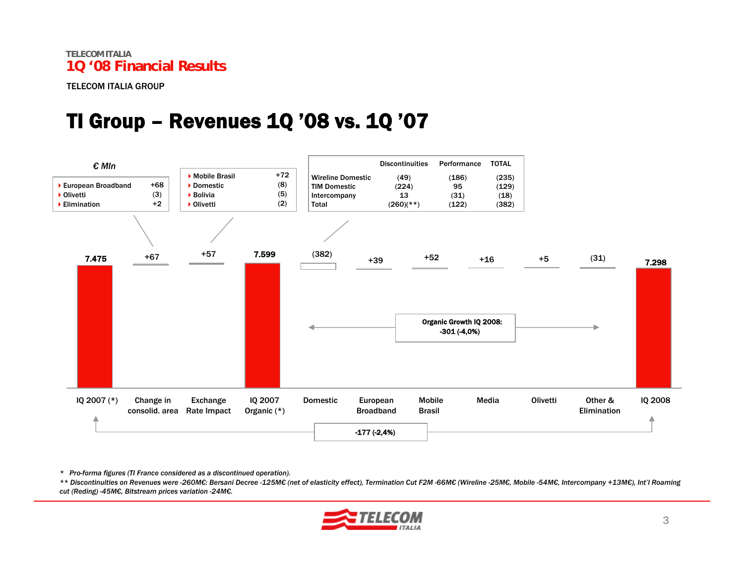#### TI Group – Revenues 1Q '08 vs. 1Q '07



*\* Pro-forma figures (TI France considered as a discontinued operation).*

\*\* Discontinuities on Revenues were -260M€: Bersani Decree -125M€ (net of elasticity effect), Termination Cut F2M -66M€ (Wireline -25M€, Mobile -54M€, Intercompany +13M€), Int'l Roaming *cut (Reding) -45M€, Bitstream prices variation -24M€.*

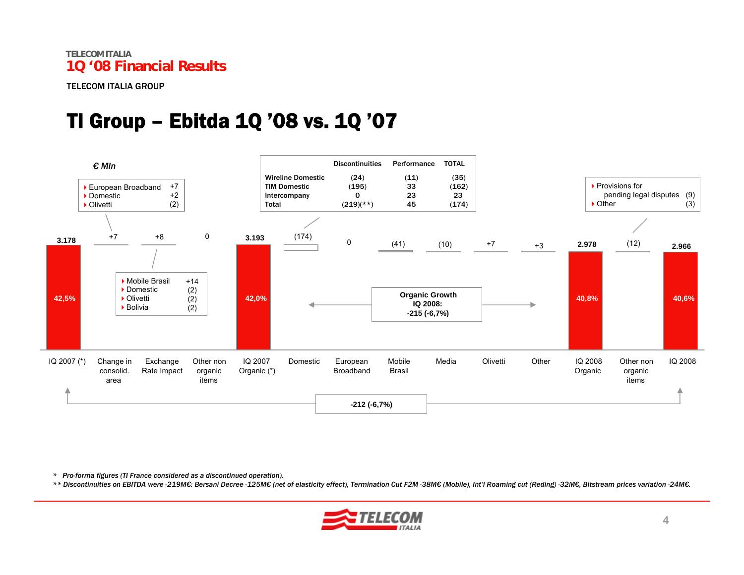#### TI Group – Ebitda 1Q '08 vs. 1Q '07



*\* Pro-forma figures (TI France considered as a discontinued operation).*

\*\* Discontinuities on EBITDA were -219ME: Bersani Decree -125ME (net of elasticity effect), Termination Cut F2M -38ME (Mobile), Int'l Roaming cut (Reding) -32ME, Bitstream prices variation -24ME.

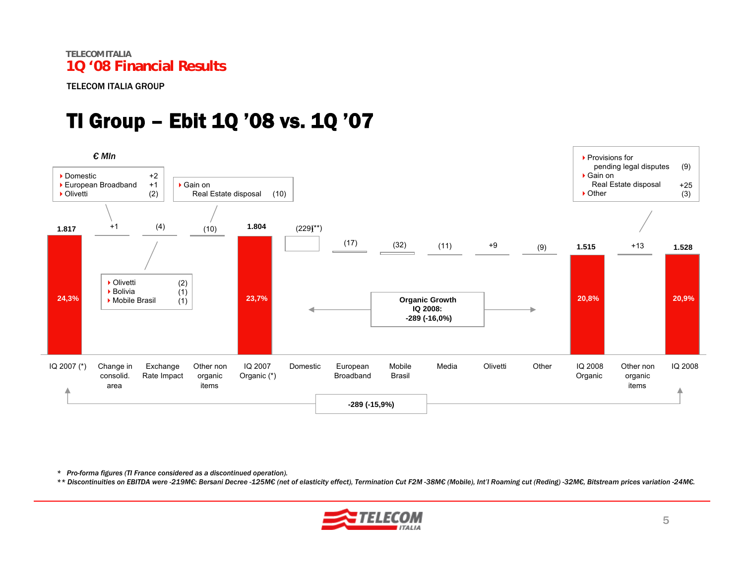TELECOM ITALIA GROUP

## TI Group – Ebit 1Q '08 vs. 1Q '07



*\* Pro-forma figures (TI France considered as a discontinued operation).*

\*\* Discontinuities on EBITDA were -219MC: Bersani Decree -125MC (net of elasticity effect), Termination Cut F2M -38ME (Mobile), Int'l Roaming cut (Reding) -32ME, Bitstream prices variation -24ME.

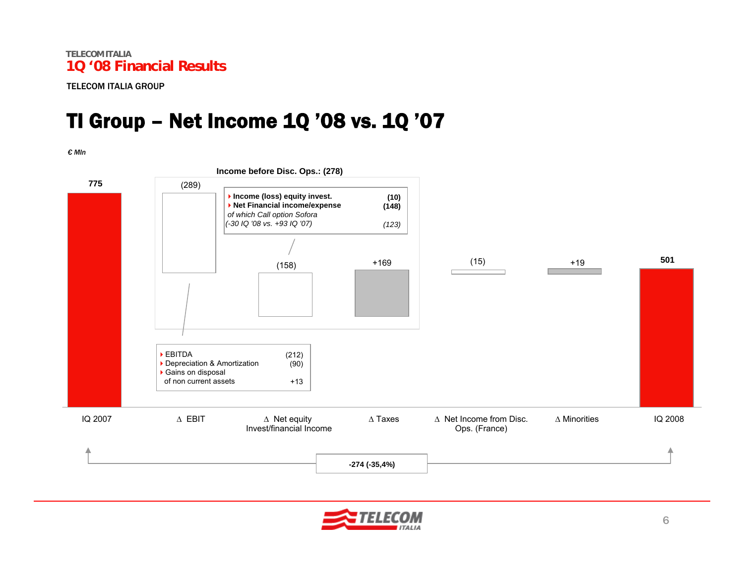#### TI Group – Net Income 1Q '08 vs. 1Q '07

*€ Mln*



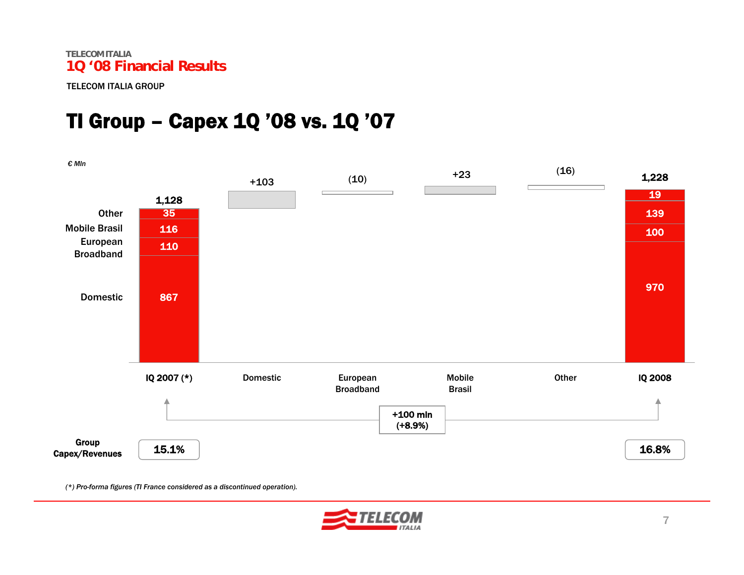### TI Group – Capex 1Q '08 vs. 1Q '07



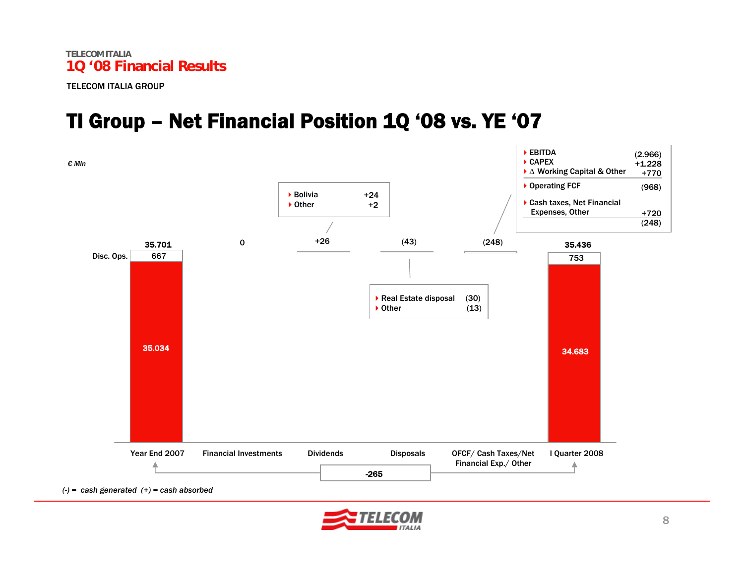#### TI Group – Net Financial Position 1Q '08 vs. YE '07



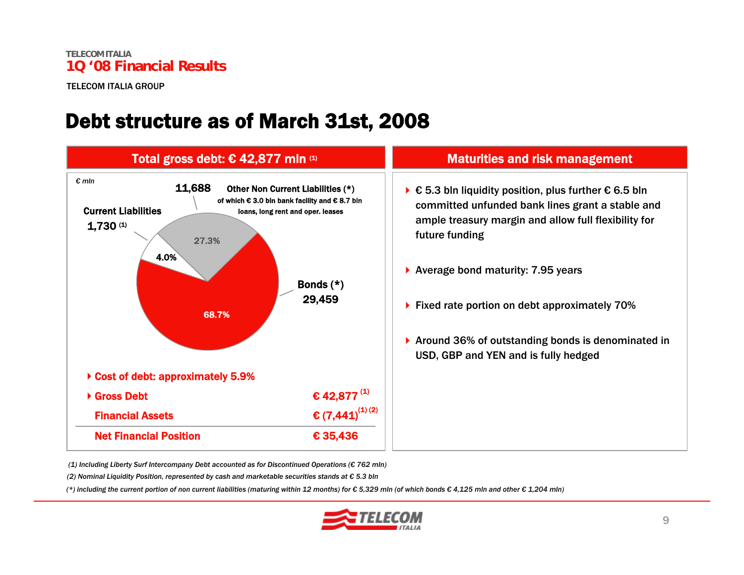#### Debt structure as of March 31st, 2008



*(1) Including Liberty Surf Intercompany Debt accounted as for Discontinued Operations (€ 762 mln)*

*(2) Nominal Liquidity Position, represented by cash and marketable securities stands at € 5.3 bln*

(\*) including the current portion of non current liabilities (maturing within 12 months) for  $\epsilon$  5,329 mln (of which bonds  $\epsilon$  4,125 mln and other  $\epsilon$  1,204 mln)

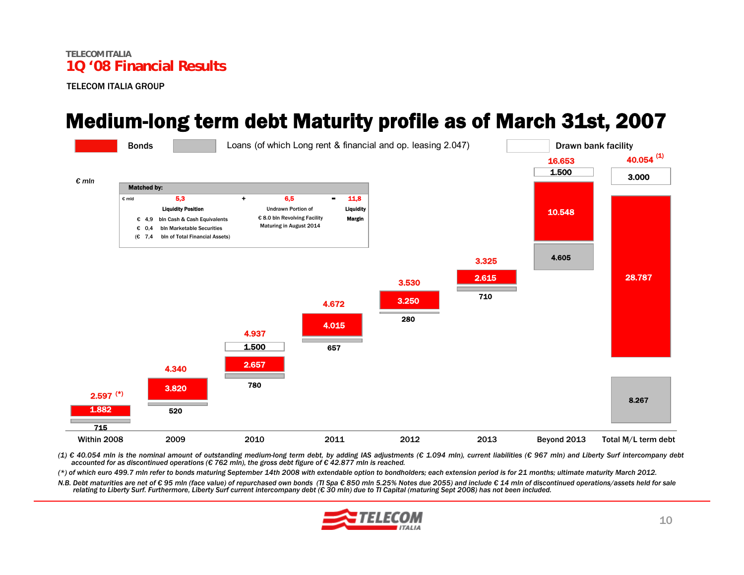#### Medium-long term debt Maturity profile as of March 31st, 2007



(1) € 40.054 mln is the nominal amount of outstanding medium-long term debt, by adding IAS adjustments (€ 1.094 mln), current liabilities (€ 967 mln) and Liberty Surf intercompany debt *accounted for as discontinued operations (€ 762 mln), the gross debt figure of € 42.877 mln is reached.*

(\*) of which euro 499.7 mln refer to bonds maturing September 14th 2008 with extendable option to bondholders; each extension period is for 21 months; ultimate maturity March 2012.

N.B. Debt maturities are net of €95 mln (face value) of repurchased own bonds (TI Spa € 850 mln 5.25% Notes due 2055) and include €14 mln of discontinued operations/assets held for sale relating to Liberty Surf. Furthermore, Liberty Surf current intercompany debt (€ 30 mln) due to TI Capital (maturing Sept 2008) has not been included.

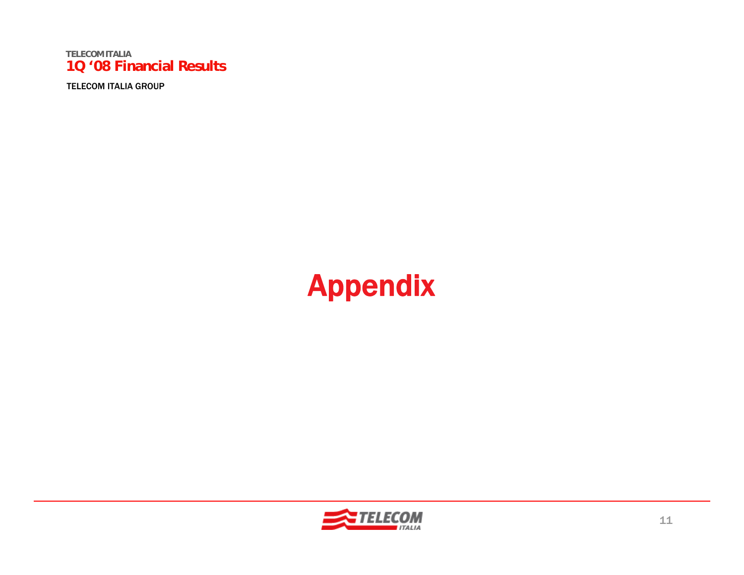TELECOM ITALIA GROUP

## Appendix

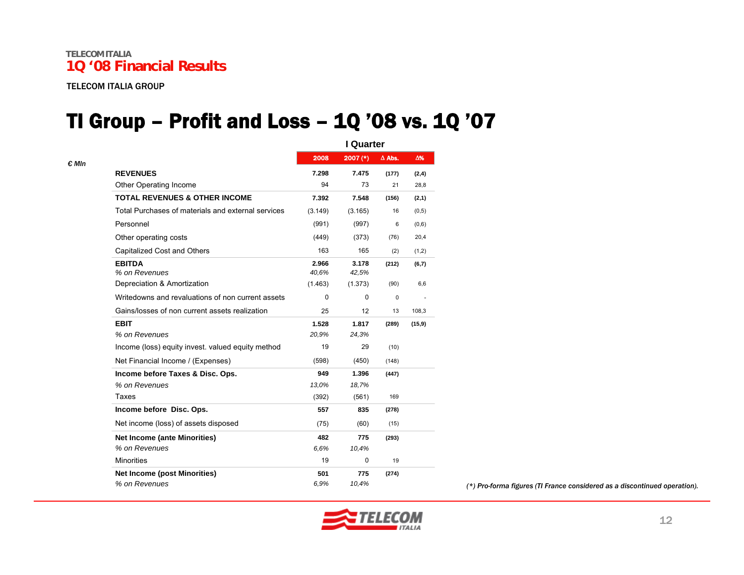TELECOM ITALIA GROUP

#### TI Group – Profit and Loss – 1Q '08 vs. 1Q '07

|                |                                                    | I Quarter      |                 |               |            |  |
|----------------|----------------------------------------------------|----------------|-----------------|---------------|------------|--|
| $\epsilon$ MIn |                                                    | 2008           | $2007$ (*)      | $\Delta$ Abs. | $\Delta\%$ |  |
|                | <b>REVENUES</b>                                    | 7.298          | 7.475           | (177)         | (2, 4)     |  |
|                | Other Operating Income                             | 94             | 73              | 21            | 28,8       |  |
|                | <b>TOTAL REVENUES &amp; OTHER INCOME</b>           | 7.392          | 7.548           | (156)         | (2,1)      |  |
|                | Total Purchases of materials and external services | (3.149)        | (3.165)         | 16            | (0, 5)     |  |
|                | Personnel                                          | (991)          | (997)           | 6             | (0,6)      |  |
|                | Other operating costs                              | (449)          | (373)           | (76)          | 20,4       |  |
|                | Capitalized Cost and Others                        | 163            | 165             | (2)           | (1,2)      |  |
|                | <b>EBITDA</b><br>% on Revenues                     | 2.966<br>40,6% | 3.178<br>42,5%  | (212)         | (6,7)      |  |
|                | Depreciation & Amortization                        | (1.463)        | (1.373)         | (90)          | 6,6        |  |
|                | Writedowns and revaluations of non current assets  | $\Omega$       | $\Omega$        | $\mathbf 0$   |            |  |
|                | Gains/losses of non current assets realization     | 25             | 12 <sup>2</sup> | 13            | 108,3      |  |
|                | <b>EBIT</b>                                        | 1.528          | 1.817           | (289)         | (15, 9)    |  |
|                | % on Revenues                                      | 20,9%          | 24,3%           |               |            |  |
|                | Income (loss) equity invest, valued equity method  | 19             | 29              | (10)          |            |  |
|                | Net Financial Income / (Expenses)                  | (598)          | (450)           | (148)         |            |  |
|                | Income before Taxes & Disc. Ops.                   | 949            | 1.396           | (447)         |            |  |
|                | % on Revenues                                      | 13,0%          | 18,7%           |               |            |  |
|                | Taxes                                              | (392)          | (561)           | 169           |            |  |
|                | Income before Disc. Ops.                           | 557            | 835             | (278)         |            |  |
|                | Net income (loss) of assets disposed               | (75)           | (60)            | (15)          |            |  |
|                | <b>Net Income (ante Minorities)</b>                | 482            | 775             | (293)         |            |  |
|                | % on Revenues                                      | 6.6%           | 10,4%           |               |            |  |
|                | <b>Minorities</b>                                  | 19             | $\mathbf 0$     | 19            |            |  |
|                | <b>Net Income (post Minorities)</b>                | 501            | 775             | (274)         |            |  |
|                | % on Revenues                                      | 6,9%           | 10,4%           |               |            |  |

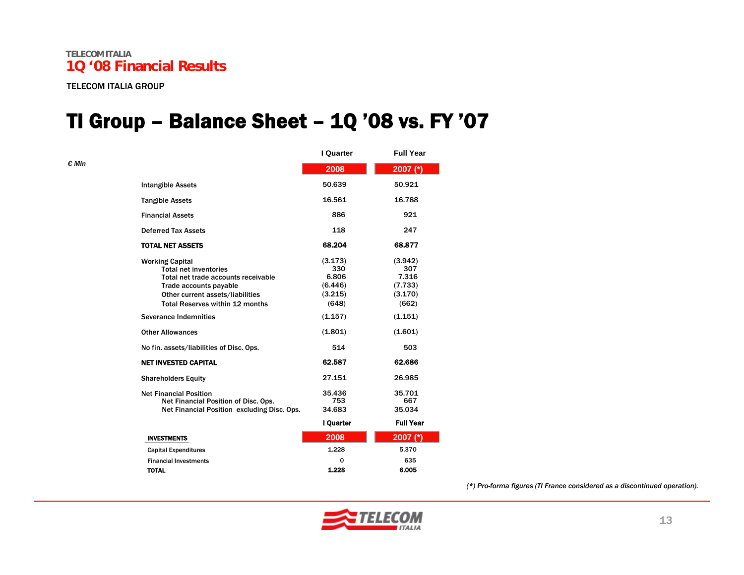*€ Mln*

### TI Group – Balance Sheet – 1Q '08 vs. FY '07

|                                                                                                                                                                                                       | I Quarter                                              | <b>Full Year</b>                                       |
|-------------------------------------------------------------------------------------------------------------------------------------------------------------------------------------------------------|--------------------------------------------------------|--------------------------------------------------------|
|                                                                                                                                                                                                       | 2008                                                   | 2007 (*)                                               |
| <b>Intangible Assets</b>                                                                                                                                                                              | 50.639                                                 | 50.921                                                 |
| <b>Tangible Assets</b>                                                                                                                                                                                | 16.561                                                 | 16.788                                                 |
| <b>Financial Assets</b>                                                                                                                                                                               | 886                                                    | 921                                                    |
| <b>Deferred Tax Assets</b>                                                                                                                                                                            | 118                                                    | 247                                                    |
| <b>TOTAL NET ASSETS</b>                                                                                                                                                                               | 68.204                                                 | 68.877                                                 |
| <b>Working Capital</b><br><b>Total net inventories</b><br>Total net trade accounts receivable<br>Trade accounts payable<br>Other current assets/liabilities<br><b>Total Reserves within 12 months</b> | (3.173)<br>330<br>6.806<br>(6.446)<br>(3.215)<br>(648) | (3.942)<br>307<br>7.316<br>(7.733)<br>(3.170)<br>(662) |
| <b>Severance Indemnities</b>                                                                                                                                                                          | (1.157)                                                | (1.151)                                                |
| <b>Other Allowances</b>                                                                                                                                                                               | (1.801)                                                | (1.601)                                                |
| No fin. assets/liabilities of Disc. Ops.                                                                                                                                                              | 514                                                    | 503                                                    |
| <b>NET INVESTED CAPITAL</b>                                                                                                                                                                           | 62.587                                                 | 62.686                                                 |
| <b>Shareholders Equity</b>                                                                                                                                                                            | 27.151                                                 | 26.985                                                 |
| <b>Net Financial Position</b><br>Net Financial Position of Disc. Ops.<br>Net Financial Position excluding Disc. Ops.                                                                                  | 35.436<br>753<br>34.683<br>I Quarter                   | 35.701<br>667<br>35.034<br><b>Full Year</b>            |
| <b>INVESTMENTS</b>                                                                                                                                                                                    | 2008                                                   | 2007 $(*)$                                             |
| <b>Capital Expenditures</b>                                                                                                                                                                           | 1.228                                                  | 5.370                                                  |
| <b>Financial Investments</b>                                                                                                                                                                          | O                                                      | 635                                                    |
| <b>TOTAL</b>                                                                                                                                                                                          | 1.228                                                  | 6.005                                                  |

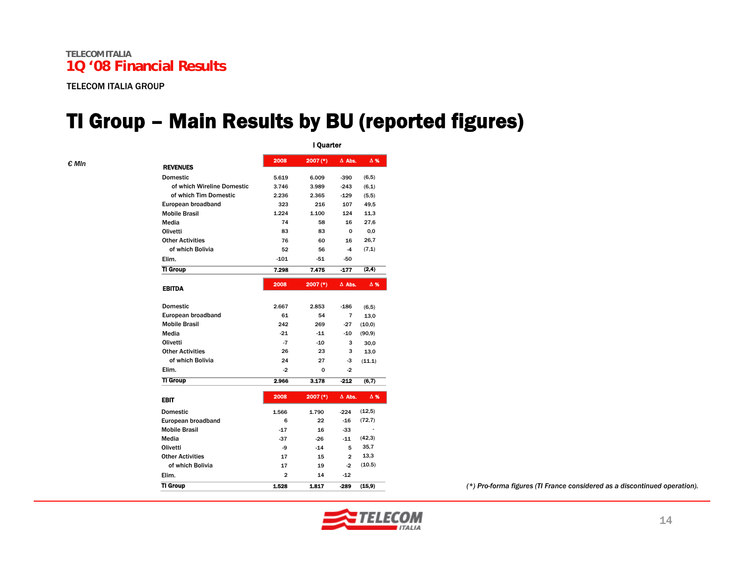#### TI Group – Main Results by BU (reported figures)

I Quarter

| <b>REVENUES</b>            | 2008           | 2007 (*) | $\Delta$ Abs.  | $\Delta$ % |
|----------------------------|----------------|----------|----------------|------------|
| <b>Domestic</b>            | 5.619          | 6.009    | $-390$         | (6, 5)     |
| of which Wireline Domestic | 3.746          | 3.989    | $-243$         | (6,1)      |
| of which Tim Domestic      | 2.236          | 2.365    | $-129$         | (5,5)      |
| European broadband         | 323            | 216      | 107            | 49,5       |
| <b>Mobile Brasil</b>       | 1.224          | 1.100    | 124            | 11,3       |
| Media                      | 74             | 58       | 16             | 27,6       |
| Olivetti                   | 83             | 83       | 0              | 0,0        |
| <b>Other Activities</b>    | 76             | 60       | 16             | 26,7       |
| of which Bolivia           | 52             | 56       | $-4$           | (7,1)      |
| Elim.                      | $-101$         | $-51$    | -50            |            |
| <b>TI Group</b>            | 7.298          | 7.475    | $-177$         | (2,4)      |
|                            |                |          |                |            |
| <b>EBITDA</b>              | 2008           | 2007 (*) | $\Delta$ Abs.  | Δ%         |
| <b>Domestic</b>            | 2.667          | 2.853    | $-186$         | (6, 5)     |
| European broadband         | 61             | 54       | 7              | 13,0       |
| <b>Mobile Brasil</b>       | 242            | 269      | -27            | (10, 0)    |
| Media                      | $-21$          | $-11$    | $-10$          | (90, 9)    |
| Olivetti                   | $-7$           | $-10$    | з              | 30,0       |
| <b>Other Activities</b>    | 26             | 23       | 3              | 13.0       |
| of which Bolivia           | 24             | 27       | -3             | (11.1)     |
| Elim.                      | -2             | 0        | $-2$           |            |
| <b>TI Group</b>            | 2.966          | 3.178    | $-212$         | (6,7)      |
| <b>EBIT</b>                | 2008           | 2007 (*) | $\Delta$ Abs.  | $\Delta$ % |
| <b>Domestic</b>            | 1.566          | 1.790    | $-224$         | (12, 5)    |
| European broadband         | 6              | 22       | $-16$          | (72, 7)    |
| <b>Mobile Brasil</b>       | $-17$          | 16       | -33            |            |
| Media                      | $-37$          | $-26$    | $-11$          | (42, 3)    |
| Olivetti                   | -9             | $-14$    | 5              | 35,7       |
| <b>Other Activities</b>    | 17             | 15       | $\overline{a}$ | 13,3       |
| of which Bolivia           | 17             | 19       | $-2$           | (10.5)     |
| Flim.                      | $\overline{2}$ | 14       | $-12$          |            |
| <b>TI Group</b>            | 1.528          | 1.817    | $-289$         | (15, 9)    |